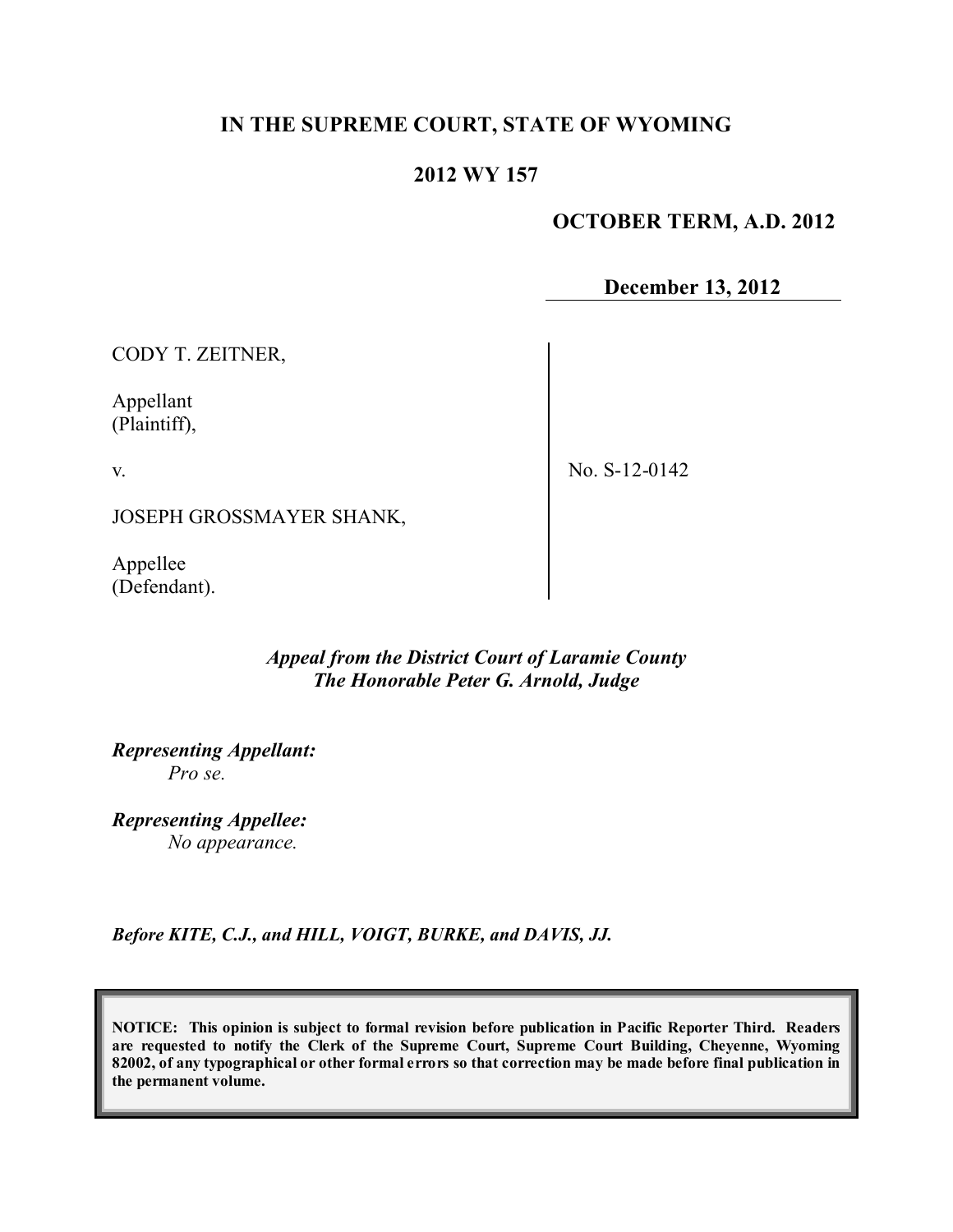# **IN THE SUPREME COURT, STATE OF WYOMING**

## **2012 WY 157**

# **OCTOBER TERM, A.D. 2012**

**December 13, 2012**

CODY T. ZEITNER,

Appellant (Plaintiff),

v.

No. S-12-0142

JOSEPH GROSSMAYER SHANK,

Appellee (Defendant).

### *Appeal from the District Court of Laramie County The Honorable Peter G. Arnold, Judge*

*Representing Appellant: Pro se.*

*Representing Appellee: No appearance.*

*Before KITE, C.J., and HILL, VOIGT, BURKE, and DAVIS, JJ.*

**NOTICE: This opinion is subject to formal revision before publication in Pacific Reporter Third. Readers are requested to notify the Clerk of the Supreme Court, Supreme Court Building, Cheyenne, Wyoming** 82002, of any typographical or other formal errors so that correction may be made before final publication in **the permanent volume.**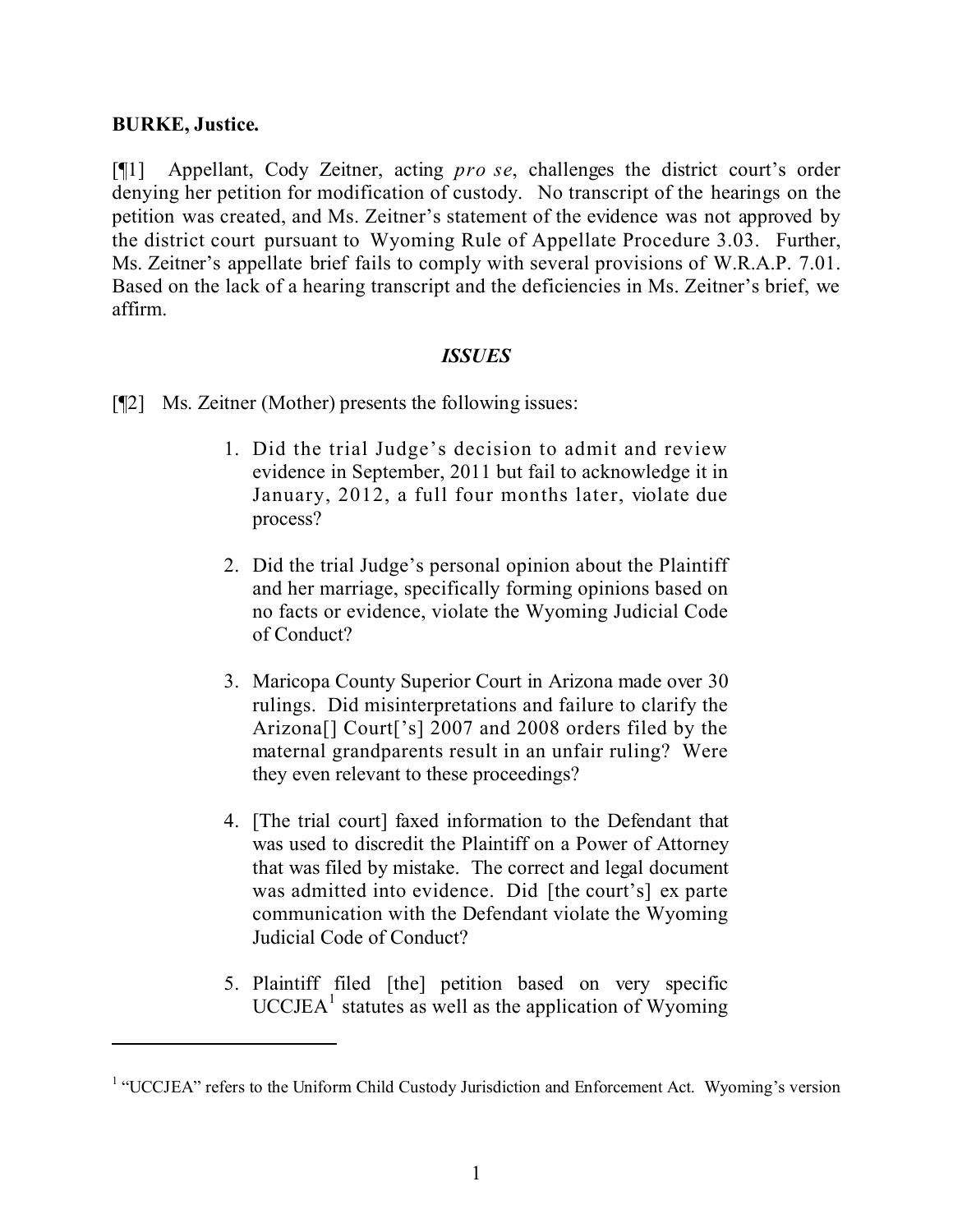## **BURKE, Justice.**

[¶1] Appellant, Cody Zeitner, acting *pro se*, challenges the district court's order denying her petition for modification of custody. No transcript of the hearings on the petition was created, and Ms. Zeitner's statement of the evidence was not approved by the district court pursuant to Wyoming Rule of Appellate Procedure 3.03. Further, Ms. Zeitner's appellate brief fails to comply with several provisions of W.R.A.P. 7.01. Based on the lack of a hearing transcript and the deficiencies in Ms. Zeitner's brief, we affirm.

### *ISSUES*

[¶2] Ms. Zeitner (Mother) presents the following issues:

- 1. Did the trial Judge's decision to admit and review evidence in September, 2011 but fail to acknowledge it in January, 2012, a full four months later, violate due process?
- 2. Did the trial Judge's personal opinion about the Plaintiff and her marriage, specifically forming opinions based on no facts or evidence, violate the Wyoming Judicial Code of Conduct?
- 3. Maricopa County Superior Court in Arizona made over 30 rulings. Did misinterpretations and failure to clarify the Arizona[] Court['s] 2007 and 2008 orders filed by the maternal grandparents result in an unfair ruling? Were they even relevant to these proceedings?
- 4. [The trial court] faxed information to the Defendant that was used to discredit the Plaintiff on a Power of Attorney that was filed by mistake. The correct and legal document was admitted into evidence. Did [the court's] ex parte communication with the Defendant violate the Wyoming Judicial Code of Conduct?
- 5. Plaintiff filed [the] petition based on very specific  $UCCJEA<sup>1</sup>$  statutes as well as the application of Wyoming

<sup>&</sup>lt;sup>1</sup> "UCCJEA" refers to the Uniform Child Custody Jurisdiction and Enforcement Act. Wyoming's version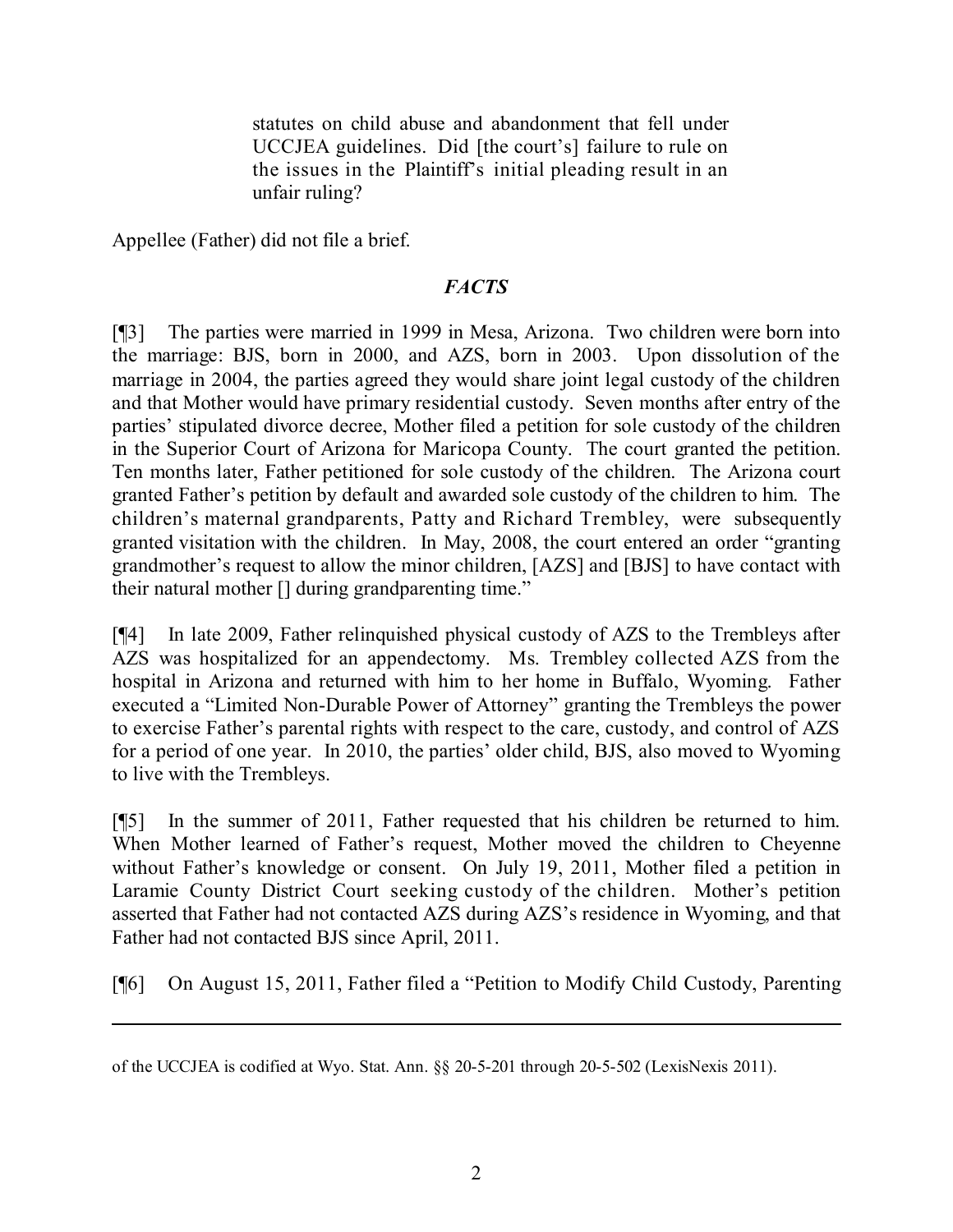statutes on child abuse and abandonment that fell under UCCJEA guidelines. Did [the court's] failure to rule on the issues in the Plaintiff's initial pleading result in an unfair ruling?

Appellee (Father) did not file a brief.

# *FACTS*

[¶3] The parties were married in 1999 in Mesa, Arizona. Two children were born into the marriage: BJS, born in 2000, and AZS, born in 2003. Upon dissolution of the marriage in 2004, the parties agreed they would share joint legal custody of the children and that Mother would have primary residential custody. Seven months after entry of the parties' stipulated divorce decree, Mother filed a petition for sole custody of the children in the Superior Court of Arizona for Maricopa County. The court granted the petition. Ten months later, Father petitioned for sole custody of the children. The Arizona court granted Father's petition by default and awarded sole custody of the children to him. The children's maternal grandparents, Patty and Richard Trembley, were subsequently granted visitation with the children. In May, 2008, the court entered an order "granting grandmother's request to allow the minor children, [AZS] and [BJS] to have contact with their natural mother [] during grandparenting time."

[¶4] In late 2009, Father relinquished physical custody of AZS to the Trembleys after AZS was hospitalized for an appendectomy. Ms. Trembley collected AZS from the hospital in Arizona and returned with him to her home in Buffalo, Wyoming. Father executed a "Limited Non-Durable Power of Attorney" granting the Trembleys the power to exercise Father's parental rights with respect to the care, custody, and control of AZS for a period of one year. In 2010, the parties' older child, BJS, also moved to Wyoming to live with the Trembleys.

[¶5] In the summer of 2011, Father requested that his children be returned to him. When Mother learned of Father's request, Mother moved the children to Cheyenne without Father's knowledge or consent. On July 19, 2011, Mother filed a petition in Laramie County District Court seeking custody of the children. Mother's petition asserted that Father had not contacted AZS during AZS's residence in Wyoming, and that Father had not contacted BJS since April, 2011.

[¶6] On August 15, 2011, Father filed a "Petition to Modify Child Custody, Parenting

l

of the UCCJEA is codified at Wyo. Stat. Ann. §§ 20-5-201 through 20-5-502 (LexisNexis 2011).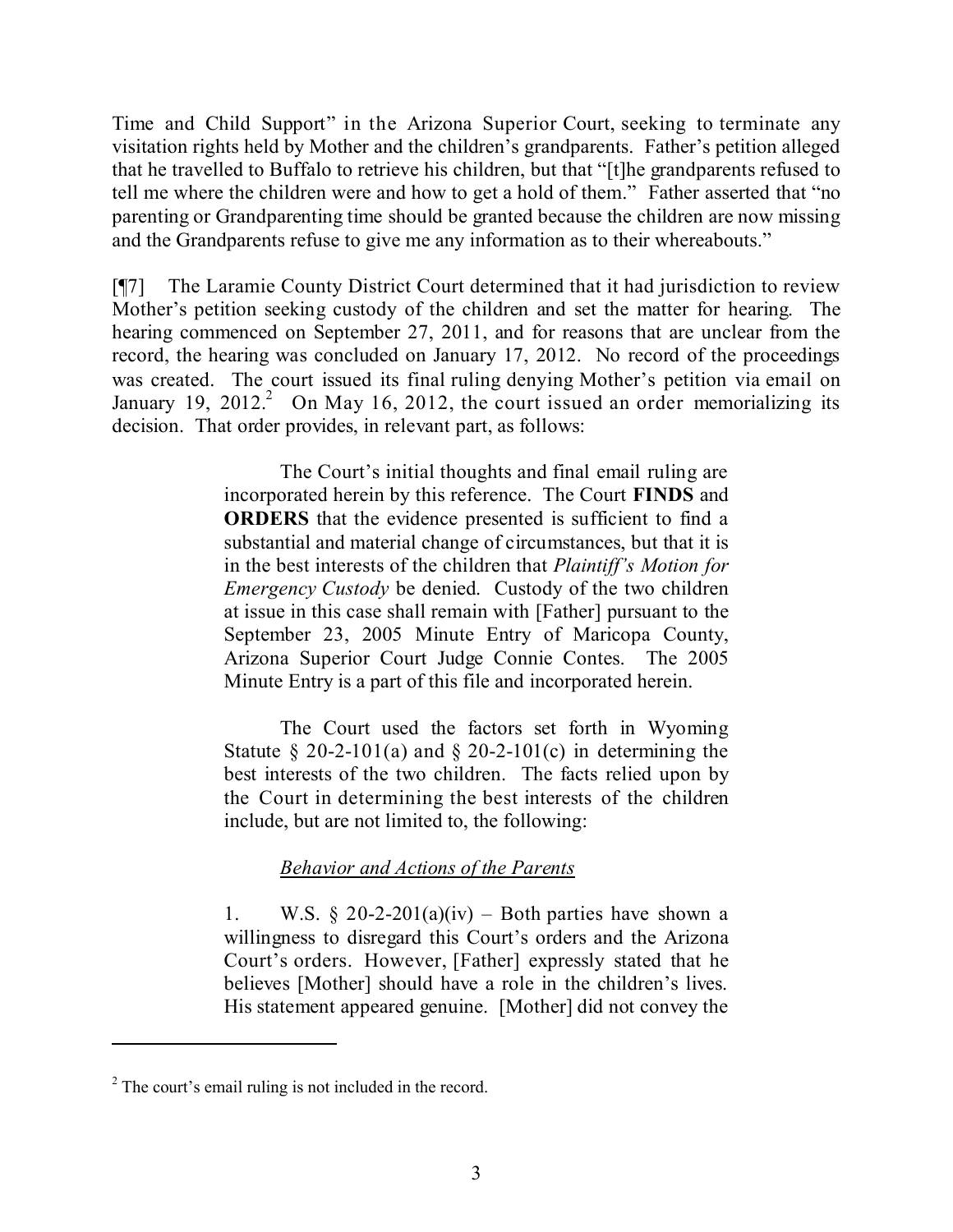Time and Child Support" in the Arizona Superior Court, seeking to terminate any visitation rights held by Mother and the children's grandparents. Father's petition alleged that he travelled to Buffalo to retrieve his children, but that "[t]he grandparents refused to tell me where the children were and how to get a hold of them." Father asserted that "no parenting or Grandparenting time should be granted because the children are now missing and the Grandparents refuse to give me any information as to their whereabouts."

[¶7] The Laramie County District Court determined that it had jurisdiction to review Mother's petition seeking custody of the children and set the matter for hearing. The hearing commenced on September 27, 2011, and for reasons that are unclear from the record, the hearing was concluded on January 17, 2012. No record of the proceedings was created. The court issued its final ruling denying Mother's petition via email on January 19, 2012.<sup>2</sup> On May 16, 2012, the court issued an order memorializing its decision. That order provides, in relevant part, as follows:

> The Court's initial thoughts and final email ruling are incorporated herein by this reference. The Court **FINDS** and **ORDERS** that the evidence presented is sufficient to find a substantial and material change of circumstances, but that it is in the best interests of the children that *Plaintiff's Motion for Emergency Custody* be denied. Custody of the two children at issue in this case shall remain with [Father] pursuant to the September 23, 2005 Minute Entry of Maricopa County, Arizona Superior Court Judge Connie Contes. The 2005 Minute Entry is a part of this file and incorporated herein.

> The Court used the factors set forth in Wyoming Statute § 20-2-101(a) and § 20-2-101(c) in determining the best interests of the two children. The facts relied upon by the Court in determining the best interests of the children include, but are not limited to, the following:

## *Behavior and Actions of the Parents*

1. W.S.  $\S 20-2-201(a)(iv)$  – Both parties have shown a willingness to disregard this Court's orders and the Arizona Court's orders. However, [Father] expressly stated that he believes [Mother] should have a role in the children's lives. His statement appeared genuine. [Mother] did not convey the

<sup>&</sup>lt;sup>2</sup> The court's email ruling is not included in the record.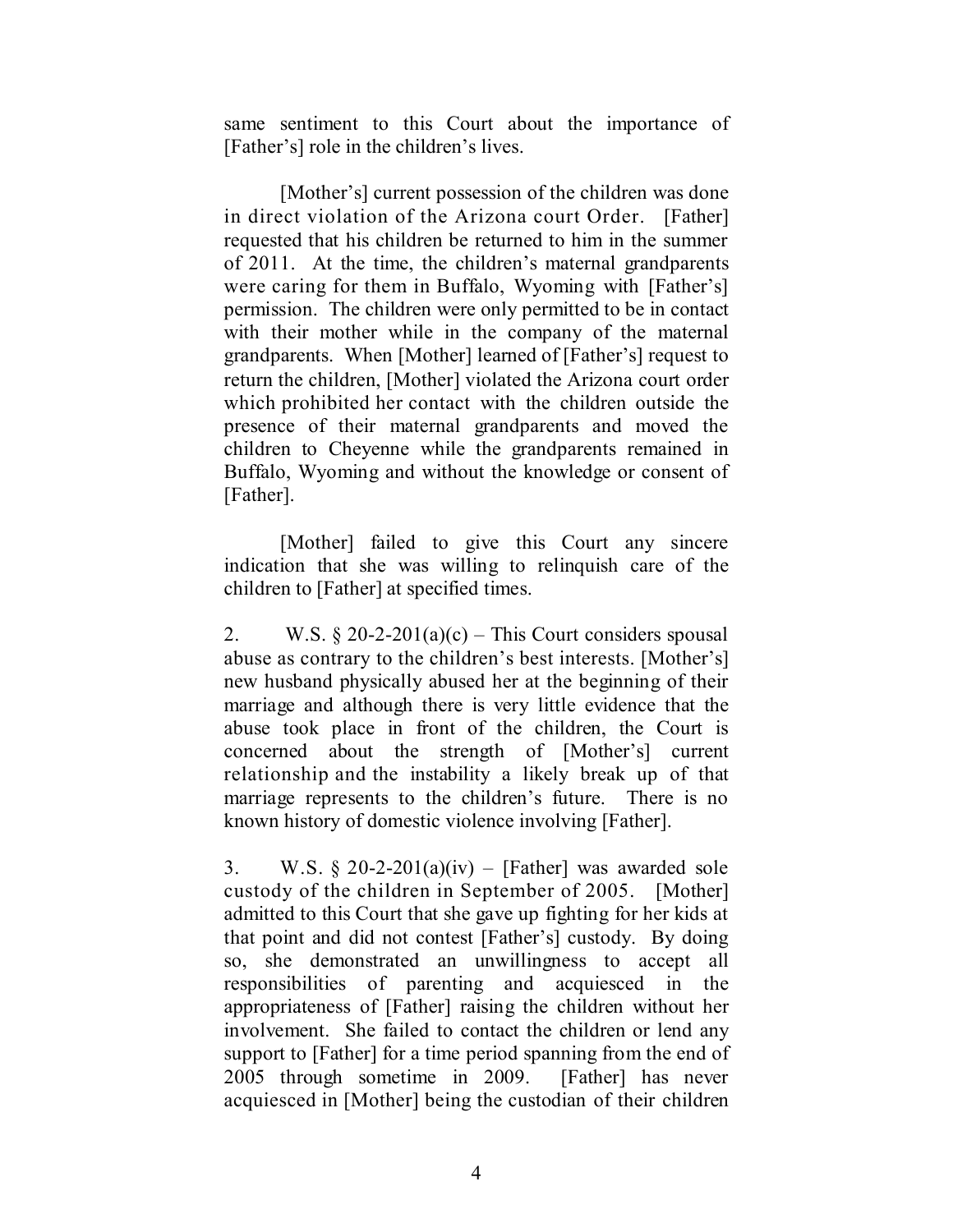same sentiment to this Court about the importance of [Father's] role in the children's lives.

[Mother's] current possession of the children was done in direct violation of the Arizona court Order. [Father] requested that his children be returned to him in the summer of 2011. At the time, the children's maternal grandparents were caring for them in Buffalo, Wyoming with [Father's] permission. The children were only permitted to be in contact with their mother while in the company of the maternal grandparents. When [Mother] learned of [Father's] request to return the children, [Mother] violated the Arizona court order which prohibited her contact with the children outside the presence of their maternal grandparents and moved the children to Cheyenne while the grandparents remained in Buffalo, Wyoming and without the knowledge or consent of [Father].

[Mother] failed to give this Court any sincere indication that she was willing to relinquish care of the children to [Father] at specified times.

2. W.S.  $\S 20-2-201(a)(c)$  – This Court considers spousal abuse as contrary to the children's best interests. [Mother's] new husband physically abused her at the beginning of their marriage and although there is very little evidence that the abuse took place in front of the children, the Court is concerned about the strength of [Mother's] current relationship and the instability a likely break up of that marriage represents to the children's future. There is no known history of domestic violence involving [Father].

3. W.S.  $\S 20-2-201(a)(iv)$  – [Father] was awarded sole custody of the children in September of 2005. [Mother] admitted to this Court that she gave up fighting for her kids at that point and did not contest [Father's] custody. By doing so, she demonstrated an unwillingness to accept all responsibilities of parenting and acquiesced in the appropriateness of [Father] raising the children without her involvement. She failed to contact the children or lend any support to [Father] for a time period spanning from the end of 2005 through sometime in 2009. [Father] has never acquiesced in [Mother] being the custodian of their children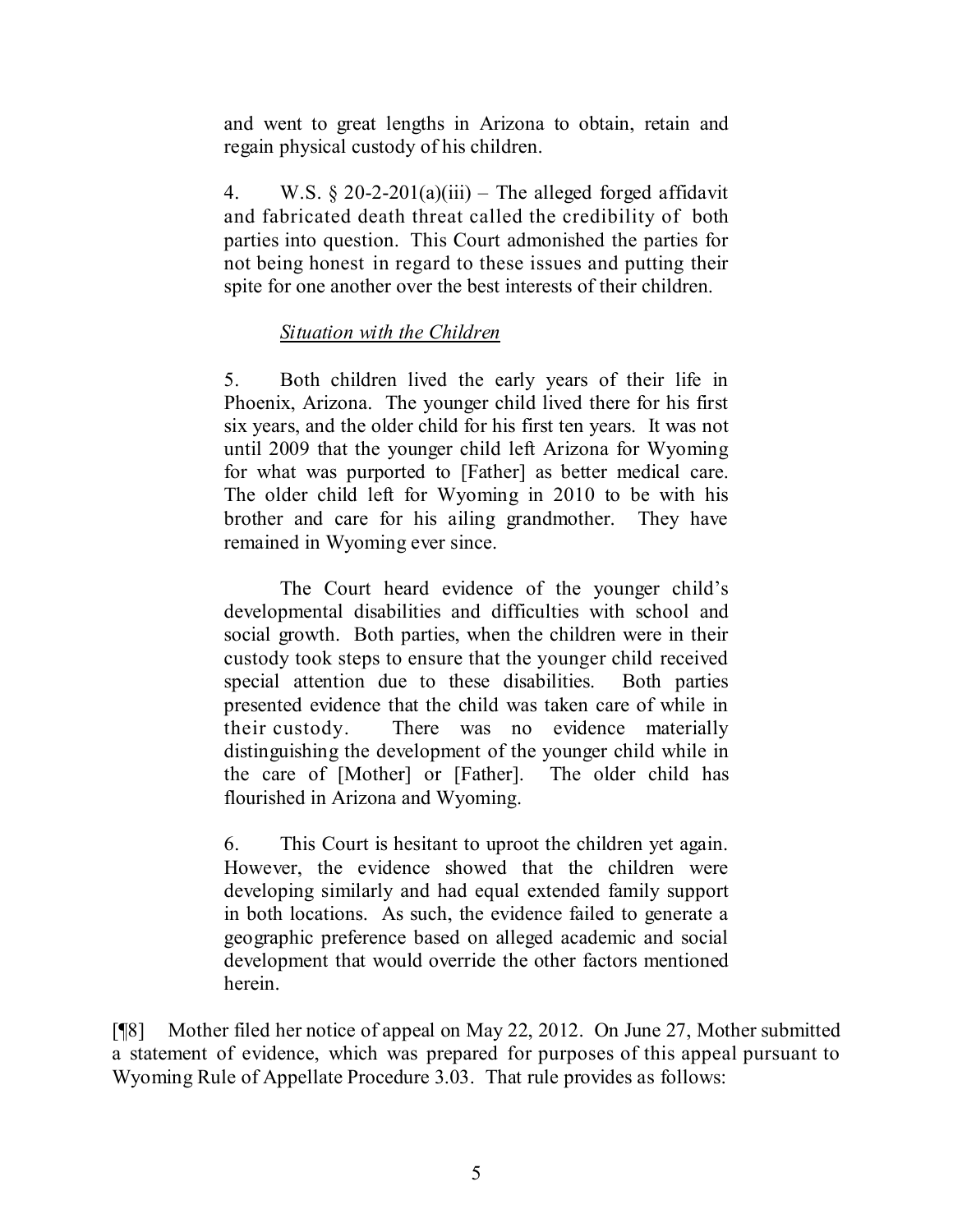and went to great lengths in Arizona to obtain, retain and regain physical custody of his children.

4. W.S.  $\S 20-2-201(a)(iii)$  – The alleged forged affidavit and fabricated death threat called the credibility of both parties into question. This Court admonished the parties for not being honest in regard to these issues and putting their spite for one another over the best interests of their children.

# *Situation with the Children*

5. Both children lived the early years of their life in Phoenix, Arizona. The younger child lived there for his first six years, and the older child for his first ten years. It was not until 2009 that the younger child left Arizona for Wyoming for what was purported to [Father] as better medical care. The older child left for Wyoming in 2010 to be with his brother and care for his ailing grandmother. They have remained in Wyoming ever since.

The Court heard evidence of the younger child's developmental disabilities and difficulties with school and social growth. Both parties, when the children were in their custody took steps to ensure that the younger child received special attention due to these disabilities. Both parties presented evidence that the child was taken care of while in their custody. There was no evidence materially distinguishing the development of the younger child while in the care of [Mother] or [Father]. The older child has flourished in Arizona and Wyoming.

6. This Court is hesitant to uproot the children yet again. However, the evidence showed that the children were developing similarly and had equal extended family support in both locations. As such, the evidence failed to generate a geographic preference based on alleged academic and social development that would override the other factors mentioned herein.

[¶8] Mother filed her notice of appeal on May 22, 2012. On June 27, Mother submitted a statement of evidence, which was prepared for purposes of this appeal pursuant to Wyoming Rule of Appellate Procedure 3.03. That rule provides as follows: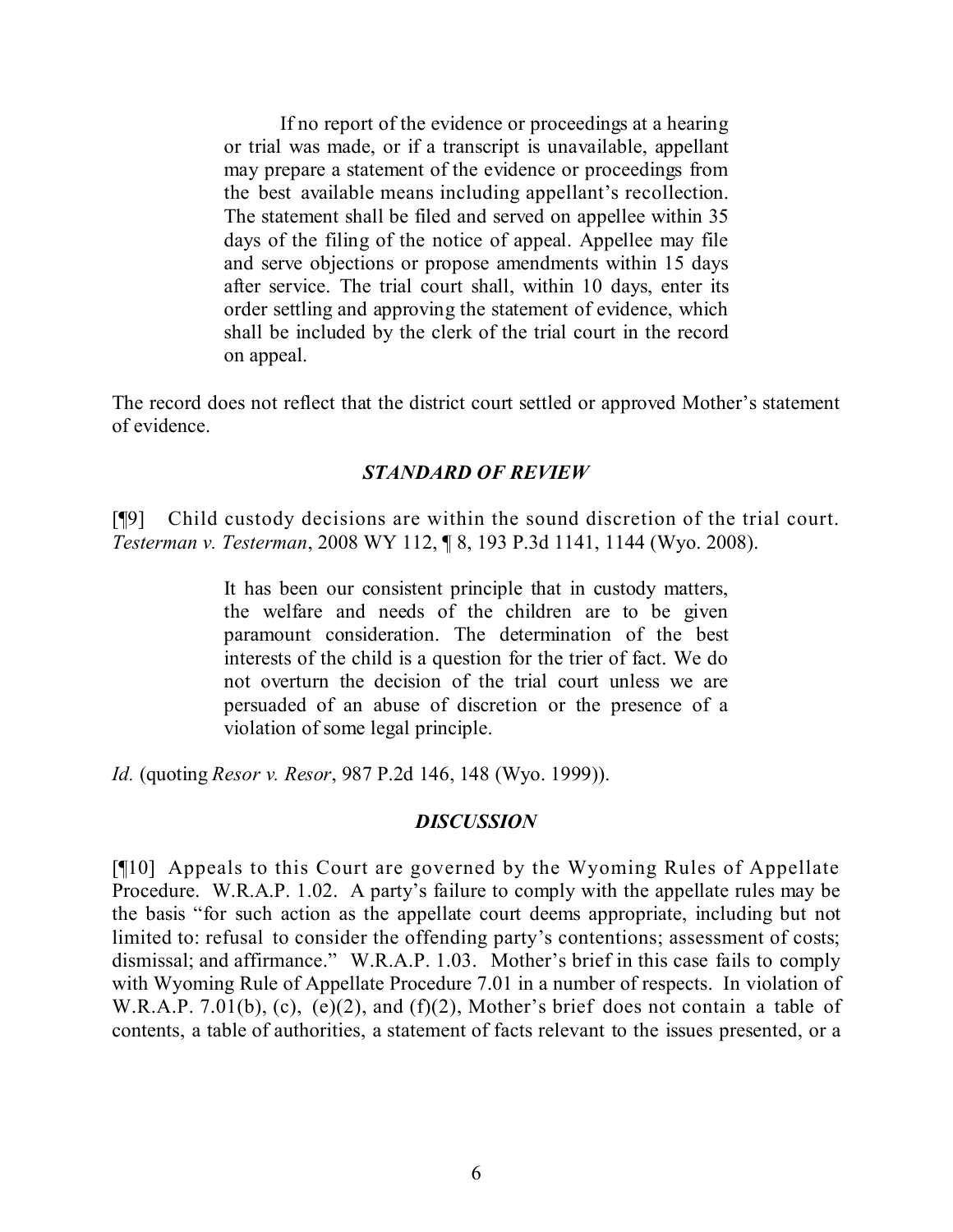If no report of the evidence or proceedings at a hearing or trial was made, or if a transcript is unavailable, appellant may prepare a statement of the evidence or proceedings from the best available means including appellant's recollection. The statement shall be filed and served on appellee within 35 days of the filing of the notice of appeal. Appellee may file and serve objections or propose amendments within 15 days after service. The trial court shall, within 10 days, enter its order settling and approving the statement of evidence, which shall be included by the clerk of the trial court in the record on appeal.

The record does not reflect that the district court settled or approved Mother's statement of evidence.

### *STANDARD OF REVIEW*

[¶9] Child custody decisions are within the sound discretion of the trial court. *Testerman v. Testerman*, 2008 WY 112, ¶ 8, 193 P.3d 1141, 1144 (Wyo. 2008).

> It has been our consistent principle that in custody matters, the welfare and needs of the children are to be given paramount consideration. The determination of the best interests of the child is a question for the trier of fact. We do not overturn the decision of the trial court unless we are persuaded of an abuse of discretion or the presence of a violation of some legal principle.

*Id.* (quoting *Resor v. Resor*, 987 P.2d 146, 148 (Wyo. 1999)).

#### *DISCUSSION*

[¶10] Appeals to this Court are governed by the Wyoming Rules of Appellate Procedure. W.R.A.P. 1.02. A party's failure to comply with the appellate rules may be the basis "for such action as the appellate court deems appropriate, including but not limited to: refusal to consider the offending party's contentions; assessment of costs; dismissal; and affirmance." W.R.A.P. 1.03. Mother's brief in this case fails to comply with Wyoming Rule of Appellate Procedure 7.01 in a number of respects. In violation of W.R.A.P. 7.01(b), (c), (e)(2), and (f)(2), Mother's brief does not contain a table of contents, a table of authorities, a statement of facts relevant to the issues presented, or a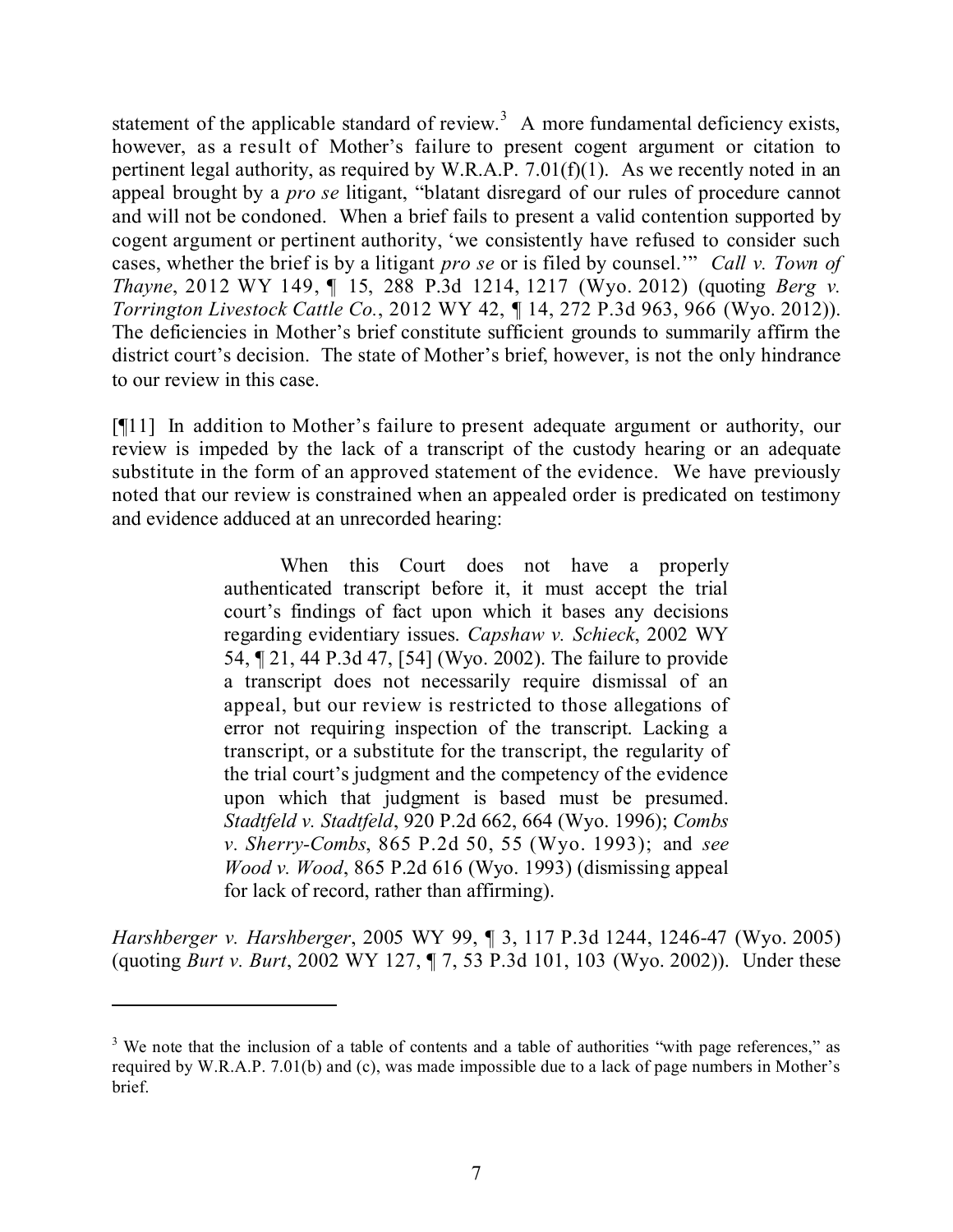statement of the applicable standard of review.<sup>3</sup> A more fundamental deficiency exists, however, as a result of Mother's failure to present cogent argument or citation to pertinent legal authority, as required by W.R.A.P.  $7.01(f)(1)$ . As we recently noted in an appeal brought by a *pro se* litigant, "blatant disregard of our rules of procedure cannot and will not be condoned. When a brief fails to present a valid contention supported by cogent argument or pertinent authority, 'we consistently have refused to consider such cases, whether the brief is by a litigant *pro se* or is filed by counsel.'" *Call v. Town of Thayne*, 2012 WY 149, ¶ 15, 288 P.3d 1214, 1217 (Wyo. 2012) (quoting *Berg v. Torrington Livestock Cattle Co.*, 2012 WY 42, ¶ 14, 272 P.3d 963, 966 (Wyo. 2012)). The deficiencies in Mother's brief constitute sufficient grounds to summarily affirm the district court's decision. The state of Mother's brief, however, is not the only hindrance to our review in this case.

[¶11] In addition to Mother's failure to present adequate argument or authority, our review is impeded by the lack of a transcript of the custody hearing or an adequate substitute in the form of an approved statement of the evidence. We have previously noted that our review is constrained when an appealed order is predicated on testimony and evidence adduced at an unrecorded hearing:

> When this Court does not have a properly authenticated transcript before it, it must accept the trial court's findings of fact upon which it bases any decisions regarding evidentiary issues. *Capshaw v. Schieck*, 2002 WY 54, ¶ 21, 44 P.3d 47, [54] (Wyo. 2002). The failure to provide a transcript does not necessarily require dismissal of an appeal, but our review is restricted to those allegations of error not requiring inspection of the transcript. Lacking a transcript, or a substitute for the transcript, the regularity of the trial court's judgment and the competency of the evidence upon which that judgment is based must be presumed. *Stadtfeld v. Stadtfeld*, 920 P.2d 662, 664 (Wyo. 1996); *Combs v. Sherry-Combs*, 865 P.2d 50, 55 (Wyo. 1993); and *see Wood v. Wood*, 865 P.2d 616 (Wyo. 1993) (dismissing appeal for lack of record, rather than affirming).

*Harshberger v. Harshberger*, 2005 WY 99, ¶ 3, 117 P.3d 1244, 1246-47 (Wyo. 2005) (quoting *Burt v. Burt*, 2002 WY 127, ¶ 7, 53 P.3d 101, 103 (Wyo. 2002)). Under these

<sup>&</sup>lt;sup>3</sup> We note that the inclusion of a table of contents and a table of authorities "with page references." as required by W.R.A.P. 7.01(b) and (c), was made impossible due to a lack of page numbers in Mother's brief.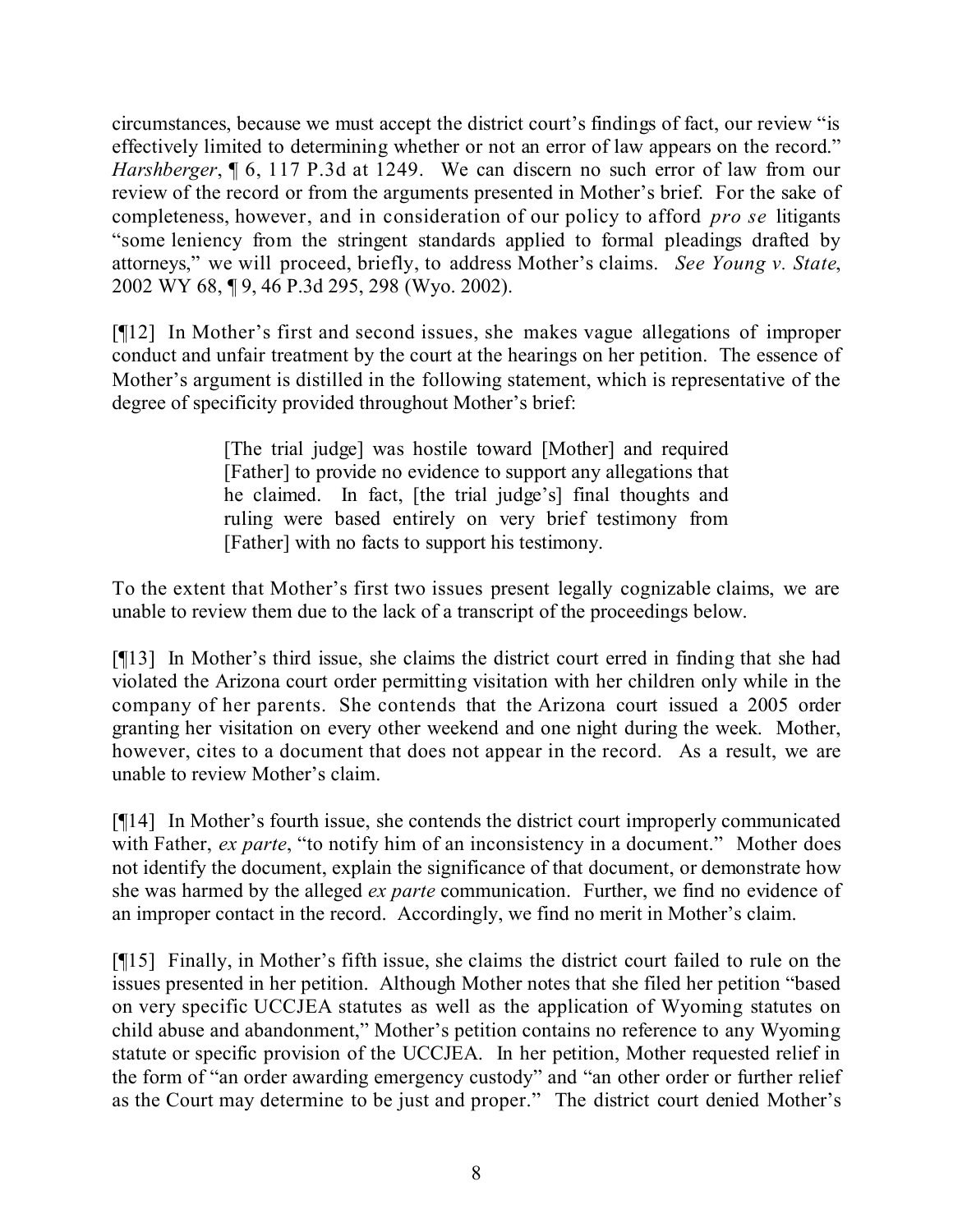circumstances, because we must accept the district court's findings of fact, our review "is effectively limited to determining whether or not an error of law appears on the record." *Harshberger*,  $\sqrt{\phantom{a}}$  6, 117 P.3d at 1249. We can discern no such error of law from our review of the record or from the arguments presented in Mother's brief. For the sake of completeness, however, and in consideration of our policy to afford *pro se* litigants "some leniency from the stringent standards applied to formal pleadings drafted by attorneys," we will proceed, briefly, to address Mother's claims. *See Young v. State*, 2002 WY 68, ¶ 9, 46 P.3d 295, 298 (Wyo. 2002).

[¶12] In Mother's first and second issues, she makes vague allegations of improper conduct and unfair treatment by the court at the hearings on her petition. The essence of Mother's argument is distilled in the following statement, which is representative of the degree of specificity provided throughout Mother's brief:

> [The trial judge] was hostile toward [Mother] and required [Father] to provide no evidence to support any allegations that he claimed. In fact, [the trial judge's] final thoughts and ruling were based entirely on very brief testimony from [Father] with no facts to support his testimony.

To the extent that Mother's first two issues present legally cognizable claims, we are unable to review them due to the lack of a transcript of the proceedings below.

[¶13] In Mother's third issue, she claims the district court erred in finding that she had violated the Arizona court order permitting visitation with her children only while in the company of her parents. She contends that the Arizona court issued a 2005 order granting her visitation on every other weekend and one night during the week. Mother, however, cites to a document that does not appear in the record. As a result, we are unable to review Mother's claim.

[¶14] In Mother's fourth issue, she contends the district court improperly communicated with Father, *ex parte*, "to notify him of an inconsistency in a document." Mother does not identify the document, explain the significance of that document, or demonstrate how she was harmed by the alleged *ex parte* communication. Further, we find no evidence of an improper contact in the record. Accordingly, we find no merit in Mother's claim.

[¶15] Finally, in Mother's fifth issue, she claims the district court failed to rule on the issues presented in her petition. Although Mother notes that she filed her petition "based on very specific UCCJEA statutes as well as the application of Wyoming statutes on child abuse and abandonment," Mother's petition contains no reference to any Wyoming statute or specific provision of the UCCJEA. In her petition, Mother requested relief in the form of "an order awarding emergency custody" and "an other order or further relief as the Court may determine to be just and proper." The district court denied Mother's